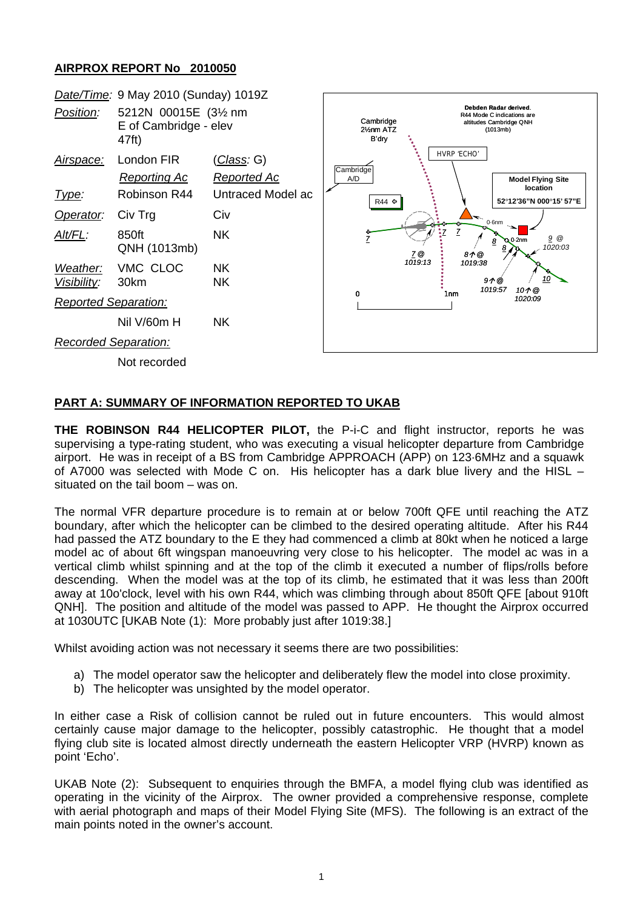## **AIRPROX REPORT No 2010050**



## **PART A: SUMMARY OF INFORMATION REPORTED TO UKAB**

**THE ROBINSON R44 HELICOPTER PILOT,** the P-i-C and flight instructor, reports he was supervising a type-rating student, who was executing a visual helicopter departure from Cambridge airport. He was in receipt of a BS from Cambridge APPROACH (APP) on 123·6MHz and a squawk of A7000 was selected with Mode C on. His helicopter has a dark blue livery and the HISL – situated on the tail boom – was on.

The normal VFR departure procedure is to remain at or below 700ft QFE until reaching the ATZ boundary, after which the helicopter can be climbed to the desired operating altitude. After his R44 had passed the ATZ boundary to the E they had commenced a climb at 80kt when he noticed a large model ac of about 6ft wingspan manoeuvring very close to his helicopter. The model ac was in a vertical climb whilst spinning and at the top of the climb it executed a number of flips/rolls before descending. When the model was at the top of its climb, he estimated that it was less than 200ft away at 10o'clock, level with his own R44, which was climbing through about 850ft QFE [about 910ft QNH]. The position and altitude of the model was passed to APP. He thought the Airprox occurred at 1030UTC [UKAB Note (1): More probably just after 1019:38.]

Whilst avoiding action was not necessary it seems there are two possibilities:

- a) The model operator saw the helicopter and deliberately flew the model into close proximity.
- b) The helicopter was unsighted by the model operator.

In either case a Risk of collision cannot be ruled out in future encounters. This would almost certainly cause major damage to the helicopter, possibly catastrophic. He thought that a model flying club site is located almost directly underneath the eastern Helicopter VRP (HVRP) known as point 'Echo'.

UKAB Note (2): Subsequent to enquiries through the BMFA, a model flying club was identified as operating in the vicinity of the Airprox. The owner provided a comprehensive response, complete with aerial photograph and maps of their Model Flying Site (MFS). The following is an extract of the main points noted in the owner's account.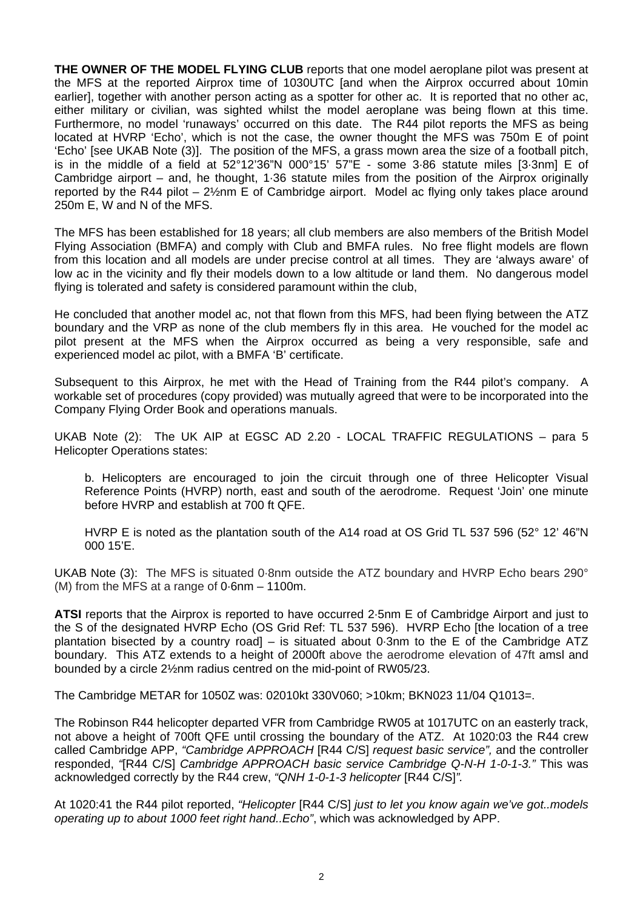**THE OWNER OF THE MODEL FLYING CLUB** reports that one model aeroplane pilot was present at the MFS at the reported Airprox time of 1030UTC [and when the Airprox occurred about 10min earlier], together with another person acting as a spotter for other ac. It is reported that no other ac, either military or civilian, was sighted whilst the model aeroplane was being flown at this time. Furthermore, no model 'runaways' occurred on this date. The R44 pilot reports the MFS as being located at HVRP 'Echo', which is not the case, the owner thought the MFS was 750m E of point 'Echo' [see UKAB Note (3)]. The position of the MFS, a grass mown area the size of a football pitch, is in the middle of a field at 52°12'36"N 000°15' 57"E - some 3·86 statute miles [3·3nm] E of Cambridge airport – and, he thought, 1·36 statute miles from the position of the Airprox originally reported by the R44 pilot – 2½nm E of Cambridge airport. Model ac flying only takes place around 250m E, W and N of the MFS.

The MFS has been established for 18 years; all club members are also members of the British Model Flying Association (BMFA) and comply with Club and BMFA rules. No free flight models are flown from this location and all models are under precise control at all times. They are 'always aware' of low ac in the vicinity and fly their models down to a low altitude or land them. No dangerous model flying is tolerated and safety is considered paramount within the club,

He concluded that another model ac, not that flown from this MFS, had been flying between the ATZ boundary and the VRP as none of the club members fly in this area. He vouched for the model ac pilot present at the MFS when the Airprox occurred as being a very responsible, safe and experienced model ac pilot, with a BMFA 'B' certificate.

Subsequent to this Airprox, he met with the Head of Training from the R44 pilot's company. A workable set of procedures (copy provided) was mutually agreed that were to be incorporated into the Company Flying Order Book and operations manuals.

UKAB Note (2): The UK AIP at EGSC AD 2.20 - LOCAL TRAFFIC REGULATIONS – para 5 Helicopter Operations states:

b. Helicopters are encouraged to join the circuit through one of three Helicopter Visual Reference Points (HVRP) north, east and south of the aerodrome. Request 'Join' one minute before HVRP and establish at 700 ft QFE.

HVRP E is noted as the plantation south of the A14 road at OS Grid TL 537 596 (52° 12' 46"N 000 15'E.

UKAB Note (3): The MFS is situated 0·8nm outside the ATZ boundary and HVRP Echo bears 290° (M) from the MFS at a range of 0·6nm – 1100m.

**ATSI** reports that the Airprox is reported to have occurred 2·5nm E of Cambridge Airport and just to the S of the designated HVRP Echo (OS Grid Ref: TL 537 596). HVRP Echo [the location of a tree plantation bisected by a country road] – is situated about 0·3nm to the E of the Cambridge ATZ boundary. This ATZ extends to a height of 2000ft above the aerodrome elevation of 47ft amsl and bounded by a circle 2½nm radius centred on the mid-point of RW05/23.

The Cambridge METAR for 1050Z was: 02010kt 330V060; >10km; BKN023 11/04 Q1013=.

The Robinson R44 helicopter departed VFR from Cambridge RW05 at 1017UTC on an easterly track, not above a height of 700ft QFE until crossing the boundary of the ATZ. At 1020:03 the R44 crew called Cambridge APP, *"Cambridge APPROACH* [R44 C/S] *request basic service",* and the controller responded, *"*[R44 C/S] *Cambridge APPROACH basic service Cambridge Q-N-H 1-0-1-3."* This was acknowledged correctly by the R44 crew, *"QNH 1-0-1-3 helicopter* [R44 C/S]*".*

At 1020:41 the R44 pilot reported, *"Helicopter* [R44 C/S] *just to let you know again we've got..models operating up to about 1000 feet right hand..Echo"*, which was acknowledged by APP.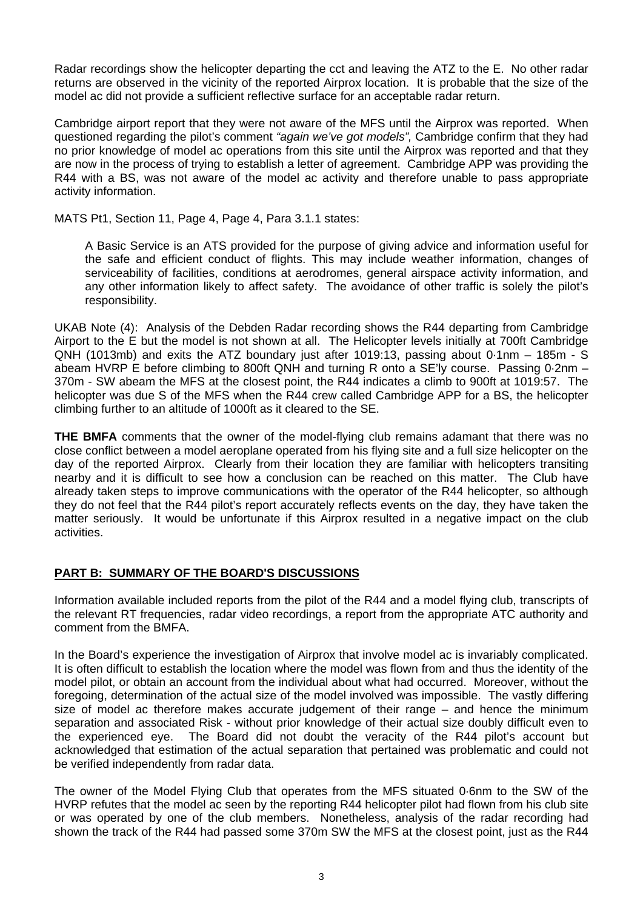Radar recordings show the helicopter departing the cct and leaving the ATZ to the E. No other radar returns are observed in the vicinity of the reported Airprox location. It is probable that the size of the model ac did not provide a sufficient reflective surface for an acceptable radar return.

Cambridge airport report that they were not aware of the MFS until the Airprox was reported. When questioned regarding the pilot's comment *"again we've got models",* Cambridge confirm that they had no prior knowledge of model ac operations from this site until the Airprox was reported and that they are now in the process of trying to establish a letter of agreement. Cambridge APP was providing the R44 with a BS, was not aware of the model ac activity and therefore unable to pass appropriate activity information.

MATS Pt1, Section 11, Page 4, Page 4, Para 3.1.1 states:

A Basic Service is an ATS provided for the purpose of giving advice and information useful for the safe and efficient conduct of flights. This may include weather information, changes of serviceability of facilities, conditions at aerodromes, general airspace activity information, and any other information likely to affect safety. The avoidance of other traffic is solely the pilot's responsibility.

UKAB Note (4): Analysis of the Debden Radar recording shows the R44 departing from Cambridge Airport to the E but the model is not shown at all. The Helicopter levels initially at 700ft Cambridge QNH (1013mb) and exits the ATZ boundary just after 1019:13, passing about 0·1nm – 185m - S abeam HVRP E before climbing to 800ft QNH and turning R onto a SE'ly course. Passing 0·2nm – 370m - SW abeam the MFS at the closest point, the R44 indicates a climb to 900ft at 1019:57. The helicopter was due S of the MFS when the R44 crew called Cambridge APP for a BS, the helicopter climbing further to an altitude of 1000ft as it cleared to the SE.

**THE BMFA** comments that the owner of the model-flying club remains adamant that there was no close conflict between a model aeroplane operated from his flying site and a full size helicopter on the day of the reported Airprox. Clearly from their location they are familiar with helicopters transiting nearby and it is difficult to see how a conclusion can be reached on this matter. The Club have already taken steps to improve communications with the operator of the R44 helicopter, so although they do not feel that the R44 pilot's report accurately reflects events on the day, they have taken the matter seriously. It would be unfortunate if this Airprox resulted in a negative impact on the club activities.

## **PART B: SUMMARY OF THE BOARD'S DISCUSSIONS**

Information available included reports from the pilot of the R44 and a model flying club, transcripts of the relevant RT frequencies, radar video recordings, a report from the appropriate ATC authority and comment from the BMFA.

In the Board's experience the investigation of Airprox that involve model ac is invariably complicated. It is often difficult to establish the location where the model was flown from and thus the identity of the model pilot, or obtain an account from the individual about what had occurred. Moreover, without the foregoing, determination of the actual size of the model involved was impossible. The vastly differing size of model ac therefore makes accurate judgement of their range – and hence the minimum separation and associated Risk - without prior knowledge of their actual size doubly difficult even to the experienced eye. The Board did not doubt the veracity of the R44 pilot's account but acknowledged that estimation of the actual separation that pertained was problematic and could not be verified independently from radar data.

The owner of the Model Flying Club that operates from the MFS situated 0·6nm to the SW of the HVRP refutes that the model ac seen by the reporting R44 helicopter pilot had flown from his club site or was operated by one of the club members. Nonetheless, analysis of the radar recording had shown the track of the R44 had passed some 370m SW the MFS at the closest point, just as the R44